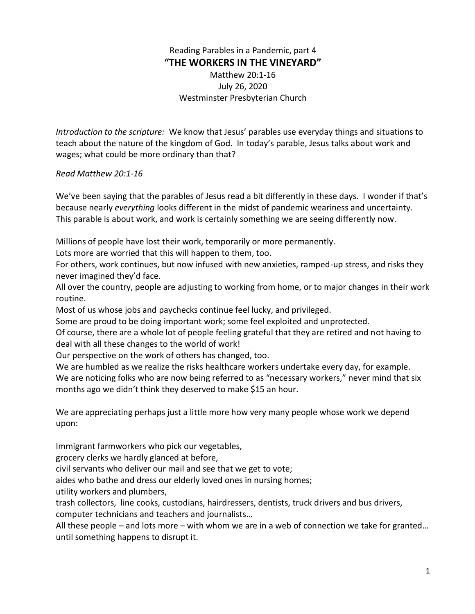Reading Parables in a Pandemic, part 4 **"THE WORKERS IN THE VINEYARD"** Matthew 20:1-16 July 26, 2020 Westminster Presbyterian Church

*Introduction to the scripture:* We know that Jesus' parables use everyday things and situations to teach about the nature of the kingdom of God. In today's parable, Jesus talks about work and wages; what could be more ordinary than that?

## *Read Matthew 20:1-16*

We've been saying that the parables of Jesus read a bit differently in these days. I wonder if that's because nearly *everything* looks different in the midst of pandemic weariness and uncertainty. This parable is about work, and work is certainly something we are seeing differently now.

Millions of people have lost their work, temporarily or more permanently.

Lots more are worried that this will happen to them, too.

For others, work continues, but now infused with new anxieties, ramped-up stress, and risks they never imagined they'd face.

All over the country, people are adjusting to working from home, or to major changes in their work routine.

Most of us whose jobs and paychecks continue feel lucky, and privileged.

Some are proud to be doing important work; some feel exploited and unprotected.

Of course, there are a whole lot of people feeling grateful that they are retired and not having to deal with all these changes to the world of work!

Our perspective on the work of others has changed, too.

We are humbled as we realize the risks healthcare workers undertake every day, for example. We are noticing folks who are now being referred to as "necessary workers," never mind that six months ago we didn't think they deserved to make \$15 an hour.

We are appreciating perhaps just a little more how very many people whose work we depend upon:

Immigrant farmworkers who pick our vegetables,

grocery clerks we hardly glanced at before,

civil servants who deliver our mail and see that we get to vote;

aides who bathe and dress our elderly loved ones in nursing homes;

utility workers and plumbers,

trash collectors, line cooks, custodians, hairdressers, dentists, truck drivers and bus drivers, computer technicians and teachers and journalists…

All these people – and lots more – with whom we are in a web of connection we take for granted… until something happens to disrupt it.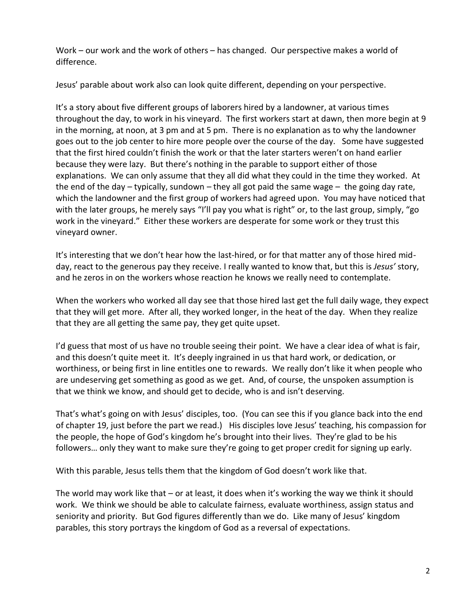Work – our work and the work of others – has changed. Our perspective makes a world of difference.

Jesus' parable about work also can look quite different, depending on your perspective.

It's a story about five different groups of laborers hired by a landowner, at various times throughout the day, to work in his vineyard. The first workers start at dawn, then more begin at 9 in the morning, at noon, at 3 pm and at 5 pm. There is no explanation as to why the landowner goes out to the job center to hire more people over the course of the day. Some have suggested that the first hired couldn't finish the work or that the later starters weren't on hand earlier because they were lazy. But there's nothing in the parable to support either of those explanations. We can only assume that they all did what they could in the time they worked. At the end of the day  $-$  typically, sundown  $-$  they all got paid the same wage  $-$  the going day rate, which the landowner and the first group of workers had agreed upon. You may have noticed that with the later groups, he merely says "I'll pay you what is right" or, to the last group, simply, "go work in the vineyard." Either these workers are desperate for some work or they trust this vineyard owner.

It's interesting that we don't hear how the last-hired, or for that matter any of those hired midday, react to the generous pay they receive. I really wanted to know that, but this is *Jesus'* story, and he zeros in on the workers whose reaction he knows we really need to contemplate.

When the workers who worked all day see that those hired last get the full daily wage, they expect that they will get more. After all, they worked longer, in the heat of the day. When they realize that they are all getting the same pay, they get quite upset.

I'd guess that most of us have no trouble seeing their point. We have a clear idea of what is fair, and this doesn't quite meet it. It's deeply ingrained in us that hard work, or dedication, or worthiness, or being first in line entitles one to rewards. We really don't like it when people who are undeserving get something as good as we get. And, of course, the unspoken assumption is that we think we know, and should get to decide, who is and isn't deserving.

That's what's going on with Jesus' disciples, too. (You can see this if you glance back into the end of chapter 19, just before the part we read.) His disciples love Jesus' teaching, his compassion for the people, the hope of God's kingdom he's brought into their lives. They're glad to be his followers… only they want to make sure they're going to get proper credit for signing up early.

With this parable, Jesus tells them that the kingdom of God doesn't work like that.

The world may work like that – or at least, it does when it's working the way we think it should work. We think we should be able to calculate fairness, evaluate worthiness, assign status and seniority and priority. But God figures differently than we do. Like many of Jesus' kingdom parables, this story portrays the kingdom of God as a reversal of expectations.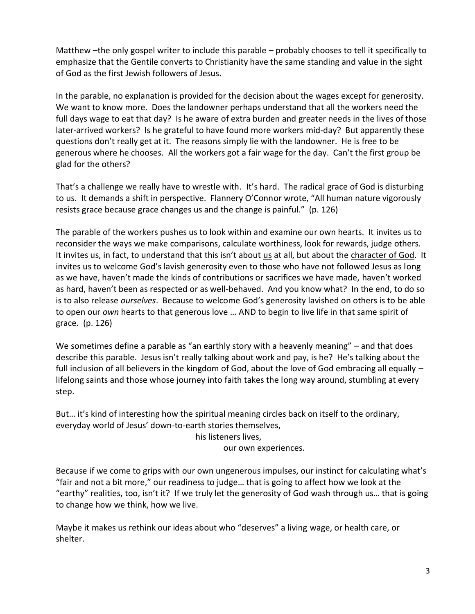Matthew –the only gospel writer to include this parable – probably chooses to tell it specifically to emphasize that the Gentile converts to Christianity have the same standing and value in the sight of God as the first Jewish followers of Jesus.

In the parable, no explanation is provided for the decision about the wages except for generosity. We want to know more. Does the landowner perhaps understand that all the workers need the full days wage to eat that day? Is he aware of extra burden and greater needs in the lives of those later-arrived workers? Is he grateful to have found more workers mid-day? But apparently these questions don't really get at it. The reasons simply lie with the landowner. He is free to be generous where he chooses. All the workers got a fair wage for the day. Can't the first group be glad for the others?

That's a challenge we really have to wrestle with. It's hard. The radical grace of God is disturbing to us. It demands a shift in perspective. Flannery O'Connor wrote, "All human nature vigorously resists grace because grace changes us and the change is painful." (p. 126)

The parable of the workers pushes us to look within and examine our own hearts. It invites us to reconsider the ways we make comparisons, calculate worthiness, look for rewards, judge others. It invites us, in fact, to understand that this isn't about us at all, but about the character of God. It invites us to welcome God's lavish generosity even to those who have not followed Jesus as long as we have, haven't made the kinds of contributions or sacrifices we have made, haven't worked as hard, haven't been as respected or as well-behaved. And you know what? In the end, to do so is to also release *ourselves*. Because to welcome God's generosity lavished on others is to be able to open our *own* hearts to that generous love … AND to begin to live life in that same spirit of grace. (p. 126)

We sometimes define a parable as "an earthly story with a heavenly meaning" – and that does describe this parable. Jesus isn't really talking about work and pay, is he? He's talking about the full inclusion of all believers in the kingdom of God, about the love of God embracing all equally – lifelong saints and those whose journey into faith takes the long way around, stumbling at every step.

But… it's kind of interesting how the spiritual meaning circles back on itself to the ordinary, everyday world of Jesus' down-to-earth stories themselves,

his listeners lives,

our own experiences.

Because if we come to grips with our own ungenerous impulses, our instinct for calculating what's "fair and not a bit more," our readiness to judge… that is going to affect how we look at the "earthy" realities, too, isn't it? If we truly let the generosity of God wash through us… that is going to change how we think, how we live.

Maybe it makes us rethink our ideas about who "deserves" a living wage, or health care, or shelter.